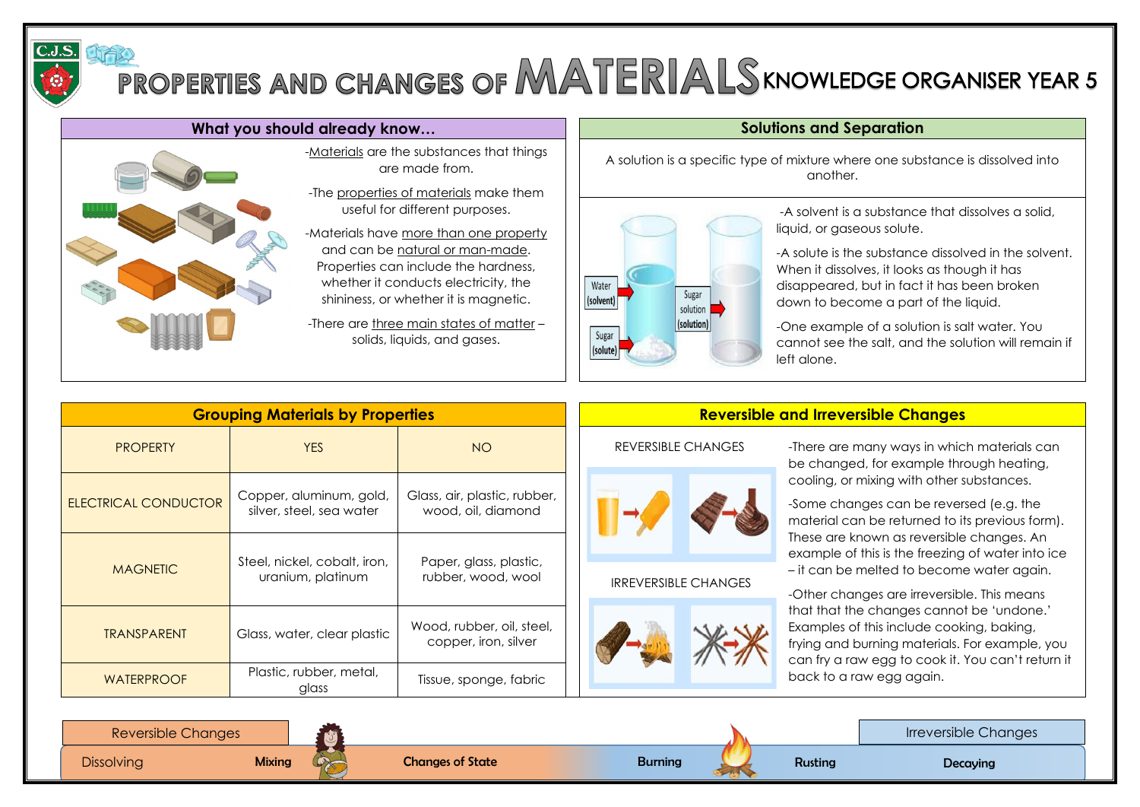

# PROPERTIES AND CHANGES OF MATERIALS KNOWLEDGE ORGANISER YEAR 5

### What you should already know... **Solutions and Separation**



A solution is a specific type of mixture where one substance is dissolved into another.



-The properties of materials make them useful for different purposes.

-Materials have more than one property and can be natural or man-made. Properties can include the hardness, whether it conducts electricity, the shininess, or whether it is magnetic.

|                             | <b>Grouping Materials by Properties</b>             |                                                    | <b>Reversible and Irreversible Changes</b> |                                                                                                                                                                                            |  |
|-----------------------------|-----------------------------------------------------|----------------------------------------------------|--------------------------------------------|--------------------------------------------------------------------------------------------------------------------------------------------------------------------------------------------|--|
| <b>PROPERTY</b>             | <b>YES</b>                                          | NO                                                 | <b>REVERSIBLE CHANGES</b>                  | -There are many ways in which materials can<br>be changed, for example through heating,                                                                                                    |  |
| <b>ELECTRICAL CONDUCTOR</b> | Copper, aluminum, gold,<br>silver, steel, sea water | Glass, air, plastic, rubber,<br>wood, oil, diamond |                                            | cooling, or mixing with other substances.<br>-Some changes can be reversed (e.g. the<br>material can be returned to its previous form).                                                    |  |
| <b>MAGNETIC</b>             | Steel, nickel, cobalt, iron,<br>uranium, platinum   | Paper, glass, plastic,<br>rubber, wood, wool       | <b>IRREVERSIBLE CHANGES</b>                | These are known as reversible changes. An<br>example of this is the freezing of water into ice<br>- it can be melted to become water again.<br>-Other changes are irreversible. This means |  |
| <b>TRANSPARENT</b>          | Glass, water, clear plastic                         | Wood, rubber, oil, steel,<br>copper, iron, silver  |                                            | that that the changes cannot be 'undone.'<br>Examples of this include cooking, baking,<br>frying and burning materials. For example, you<br>can fry a raw egg to cook it. You can't return |  |
| <b>WATERPROOF</b>           | Plastic, rubber, metal,<br>glass                    | Tissue, sponge, fabric                             |                                            | back to a raw egg again.                                                                                                                                                                   |  |

Irreversible Changes

-Materials are the substances that things are made from.

-There are three main states of matter – solids, liquids, and gases.

change, through processes such as the such as the such as the such as the such as  $\alpha$ 

-A solvent is a substance that dissolves a solid, liquid, or gaseous solute.

-A solute is the substance dissolved in the solvent. When it dissolves, it looks as though it has disappeared, but in fact it has been broken down to become a part of the liquid.

-One example of a solution is salt water. You cannot see the salt, and the solution will remain if



left alone.

-Some mixtures and solutions can be separated,

## e.g. through processes such as sieving, filtering &

- Changes that involve the formation of new